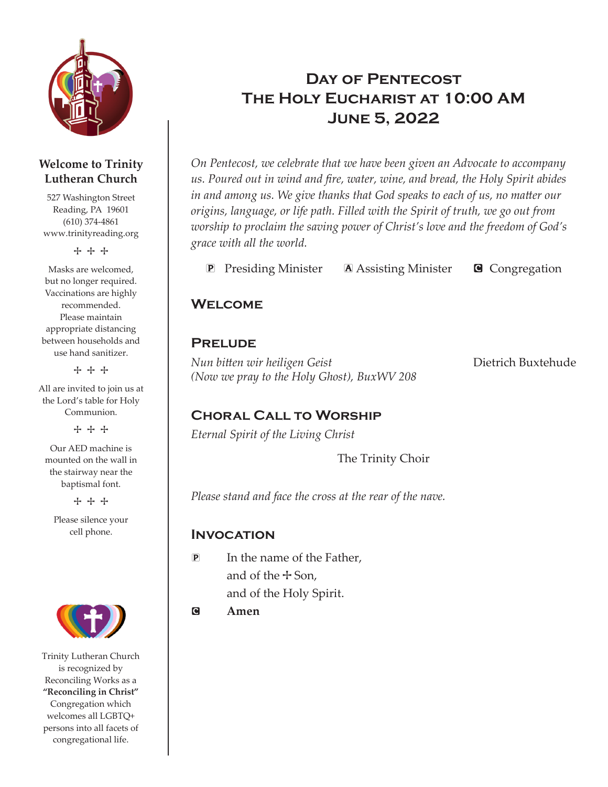

#### **Welcome to Trinity Lutheran Church**

527 Washington Street Reading, PA 19601 (610) 374-4861 www.trinityreading.org

+ + +

Masks are welcomed, but no longer required. Vaccinations are highly recommended. Please maintain appropriate distancing between households and use hand sanitizer.

+ + +

All are invited to join us at the Lord's table for Holy Communion.

+ + +

Our AED machine is mounted on the wall in the stairway near the baptismal font.

+ + +

Please silence your cell phone.



Trinity Lutheran Church is recognized by Reconciling Works as a **"Reconciling in Christ"** Congregation which welcomes all LGBTQ+ persons into all facets of congregational life.

# DAY OF PENTECOST The Holy Eucharist at 10:00 AM June 5, 2022

*On Pentecost, we celebrate that we have been given an Advocate to accompany us. Poured out in wind and fire, water, wine, and bread, the Holy Spirit abides in and among us. We give thanks that God speaks to each of us, no matter our origins, language, or life path. Filled with the Spirit of truth, we go out from worship to proclaim the saving power of Christ's love and the freedom of God's grace with all the world.*

**P** Presiding Minister **A** Assisting Minister **G** Congregation

## **WELCOME**

## **PRELUDE**

*Nun bitten wir heiligen Geist* Dietrich Buxtehude *(Now we pray to the Holy Ghost), BuxWV 208*

## Choral Call to Worship

*Eternal Spirit of the Living Christ*

The Trinity Choir

*Please stand and face the cross at the rear of the nave.*

#### **INVOCATION**

- P In the name of the Father, and of the  $+$  Son, and of the Holy Spirit.
- C **Amen**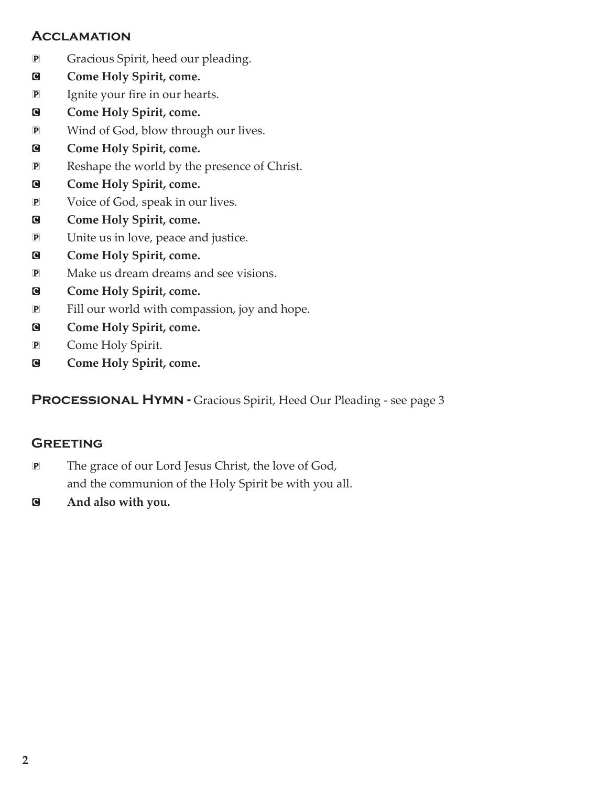#### **ACCLAMATION**

- P Gracious Spirit, heed our pleading.
- **E** Come Holy Spirit, come.
- P Ignite your fire in our hearts.
- **E** Come Holy Spirit, come.
- P Wind of God, blow through our lives.
- **E** Come Holy Spirit, come.
- P Reshape the world by the presence of Christ.
- **E** Come Holy Spirit, come.
- P Voice of God, speak in our lives.
- **E** Come Holy Spirit, come.
- P Unite us in love, peace and justice.
- **E** Come Holy Spirit, come.
- P Make us dream dreams and see visions.
- **E** Come Holy Spirit, come.
- P Fill our world with compassion, joy and hope.
- **E** Come Holy Spirit, come.
- P Come Holy Spirit.
- **E** Come Holy Spirit, come.

PROCESSIONAL HYMN - Gracious Spirit, Heed Our Pleading - see page 3

#### **GREETING**

- P The grace of our Lord Jesus Christ, the love of God, and the communion of the Holy Spirit be with you all.
- C **And also with you.**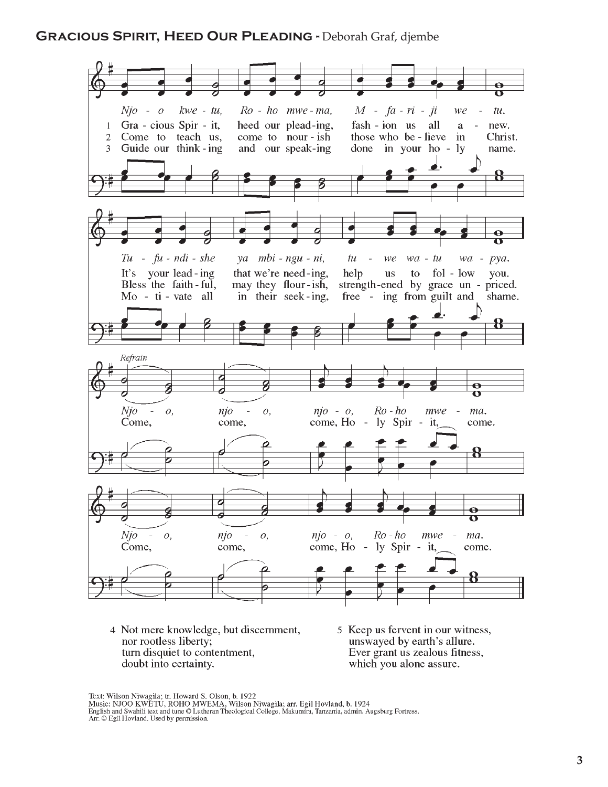#### GRACIOUS SPIRIT, HEED OUR PLEADING - Deborah Graf, diembe



- 4 Not mere knowledge, but discernment, nor rootless liberty; turn disquiet to contentment, doubt into certainty.
- 5 Keep us fervent in our witness, unswayed by earth's allure. Ever grant us zealous fitness, which you alone assure.

Text: Wilson Niwagila; tr. Howard S. Olson, b. 1922<br>Music: NJOO KWETU, ROHO MWEMA, Wilson Niwagila; arr. Egil Hovland, b. 1924<br>English and Swahili text and tune © Lutheran Theological College, Makumira, Tanzania, admin. Au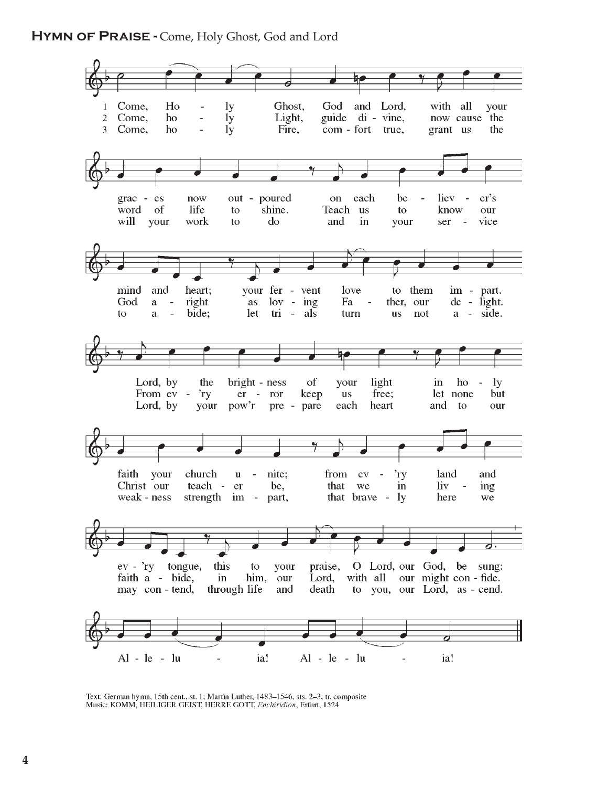

Text: German hymn, 15th cent., st. 1; Martin Luther, 1483-1546, sts. 2-3; tr. composite Music: KOMM, HEILIGER GEIST, HERRE GOTT, *Enchiridion*, Erfurt, 1524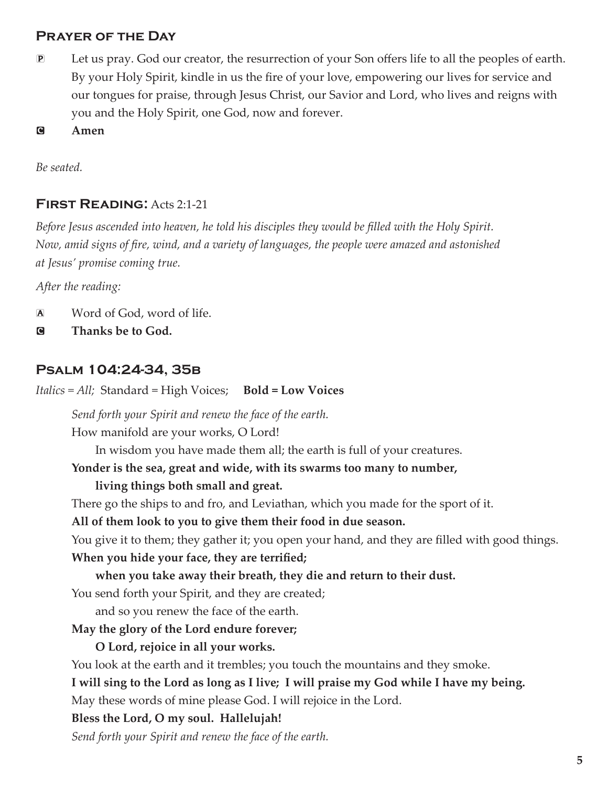#### Prayer of the Day

- P Let us pray. God our creator, the resurrection of your Son offers life to all the peoples of earth. By your Holy Spirit, kindle in us the fire of your love, empowering our lives for service and our tongues for praise, through Jesus Christ, our Savior and Lord, who lives and reigns with you and the Holy Spirit, one God, now and forever.
- C **Amen**

*Be seated.*

## **FIRST READING: Acts 2:1-21**

*Before Jesus ascended into heaven, he told his disciples they would be filled with the Holy Spirit. Now, amid signs of fire, wind, and a variety of languages, the people were amazed and astonished at Jesus' promise coming true.*

*After the reading:*

- A Word of God, word of life.
- C **Thanks be to God.**

#### Psalm 104:24-34, 35b

*Italics = All;* Standard = High Voices; **Bold = Low Voices**

*Send forth your Spirit and renew the face of the earth.*

How manifold are your works, O Lord!

In wisdom you have made them all; the earth is full of your creatures.

#### **Yonder is the sea, great and wide, with its swarms too many to number,**

#### **living things both small and great.**

There go the ships to and fro, and Leviathan, which you made for the sport of it.

**All of them look to you to give them their food in due season.** 

You give it to them; they gather it; you open your hand, and they are filled with good things.

#### **When you hide your face, they are terrified;**

#### **when you take away their breath, they die and return to their dust.**

You send forth your Spirit, and they are created;

and so you renew the face of the earth.

#### **May the glory of the Lord endure forever;**

#### **O Lord, rejoice in all your works.**

You look at the earth and it trembles; you touch the mountains and they smoke.

**I will sing to the Lord as long as I live; I will praise my God while I have my being.**

May these words of mine please God. I will rejoice in the Lord.

#### **Bless the Lord, O my soul. Hallelujah!**

*Send forth your Spirit and renew the face of the earth.*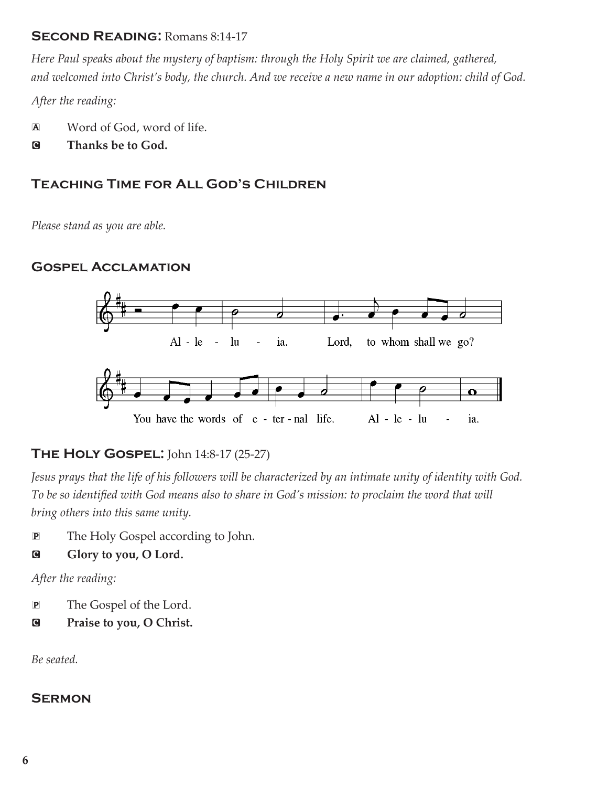#### SECOND READING: Romans 8:14-17

*Here Paul speaks about the mystery of baptism: through the Holy Spirit we are claimed, gathered, and welcomed into Christ's body, the church. And we receive a new name in our adoption: child of God.*

*After the reading:*

- A Word of God, word of life.
- C **Thanks be to God.**

## Teaching Time for All God's Children

*Please stand as you are able.*

## Gospel Acclamation



## **THE HOLY GOSPEL:** John 14:8-17 (25-27)

*Jesus prays that the life of his followers will be characterized by an intimate unity of identity with God. To be so identified with God means also to share in God's mission: to proclaim the word that will bring others into this same unity.*

P The Holy Gospel according to John.

#### G Glory to you, O Lord.

*After the reading:*

- P The Gospel of the Lord.
- C **Praise to you, O Christ.**

*Be seated.*

#### **SERMON**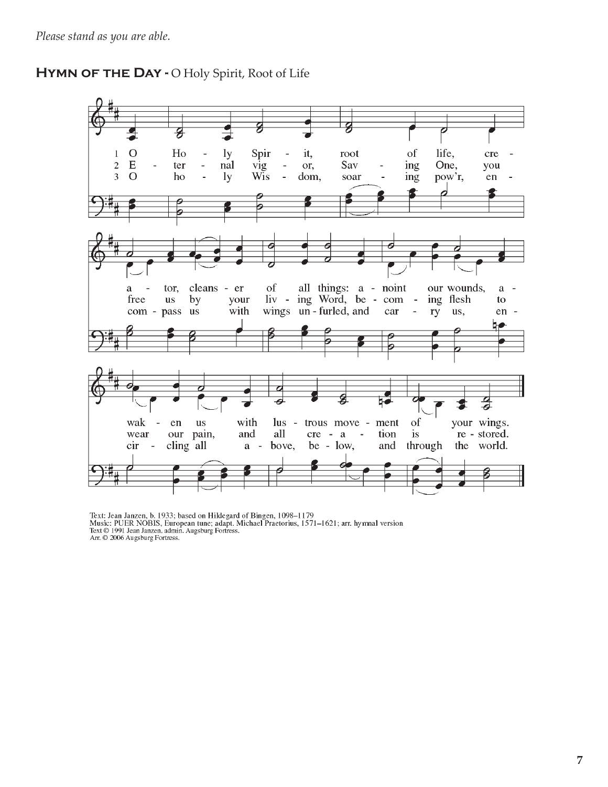#### HYMN OF THE DAY - O Holy Spirit, Root of Life



Text: Jean Janzen, b. 1933; based on Hildegard of Bingen, 1098–1179<br>Music: PUER NOBIS, European tune; adapt. Michael Praetorius, 1571–1621; arr. hymnal version<br>Text © 1991 Jean Janzen, admin. Augsburg Fortress.<br>Arr. © 2006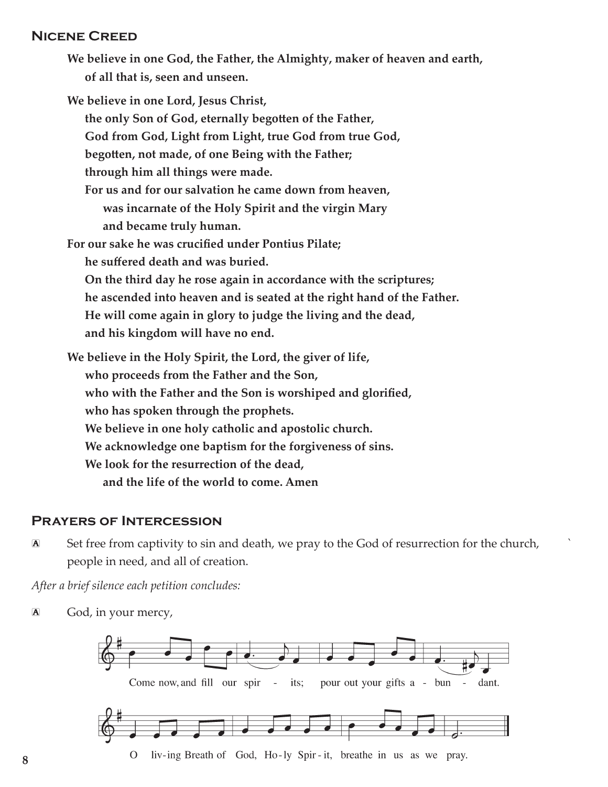#### Nicene Creed

**We believe in one God, the Father, the Almighty, maker of heaven and earth, of all that is, seen and unseen.**

**We believe in one Lord, Jesus Christ, the only Son of God, eternally begotten of the Father, God from God, Light from Light, true God from true God, begotten, not made, of one Being with the Father; through him all things were made. For us and for our salvation he came down from heaven, was incarnate of the Holy Spirit and the virgin Mary and became truly human. For our sake he was crucified under Pontius Pilate; he suffered death and was buried. On the third day he rose again in accordance with the scriptures; he ascended into heaven and is seated at the right hand of the Father.**

**He will come again in glory to judge the living and the dead, and his kingdom will have no end.**

**We believe in the Holy Spirit, the Lord, the giver of life, who proceeds from the Father and the Son, who with the Father and the Son is worshiped and glorified, who has spoken through the prophets. We believe in one holy catholic and apostolic church. We acknowledge one baptism for the forgiveness of sins. We look for the resurrection of the dead, and the life of the world to come. Amen**

#### Prayers of Intercession

A Set free from captivity to sin and death, we pray to the God of resurrection for the church, ` people in need, and all of creation.

*After a brief silence each petition concludes:*

A God, in your mercy,

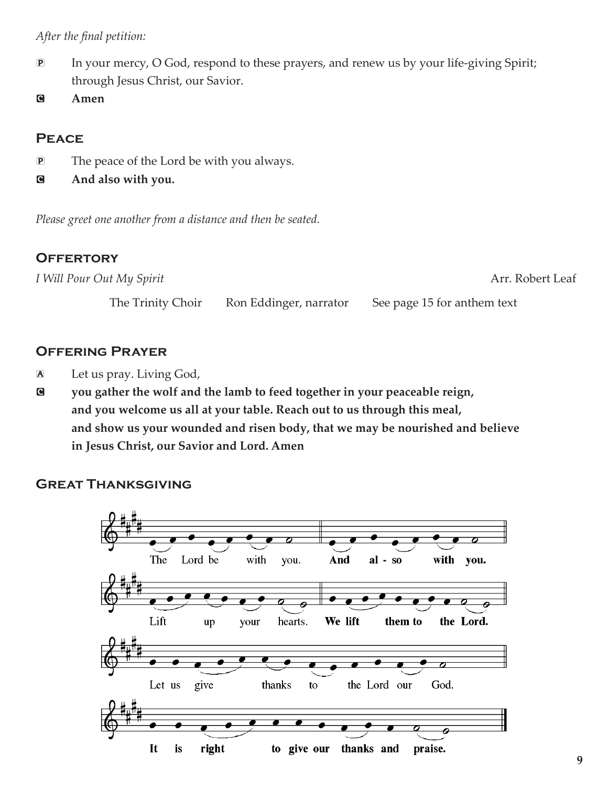#### *After the final petition:*

- P In your mercy, O God, respond to these prayers, and renew us by your life-giving Spirit; through Jesus Christ, our Savior.
- C **Amen**

## **PEACE**

- P The peace of the Lord be with you always.
- C **And also with you.**

*Please greet one another from a distance and then be seated.*

## **OFFERTORY**

| I Will Pour Out My Spirit |                        | Arr. Robert Leaf            |  |
|---------------------------|------------------------|-----------------------------|--|
| The Trinity Choir         | Ron Eddinger, narrator | See page 15 for anthem text |  |

## Offering Prayer

- A Let us pray. Living God,
- C **you gather the wolf and the lamb to feed together in your peaceable reign, and you welcome us all at your table. Reach out to us through this meal, and show us your wounded and risen body, that we may be nourished and believe in Jesus Christ, our Savior and Lord. Amen**

#### Great Thanksgiving

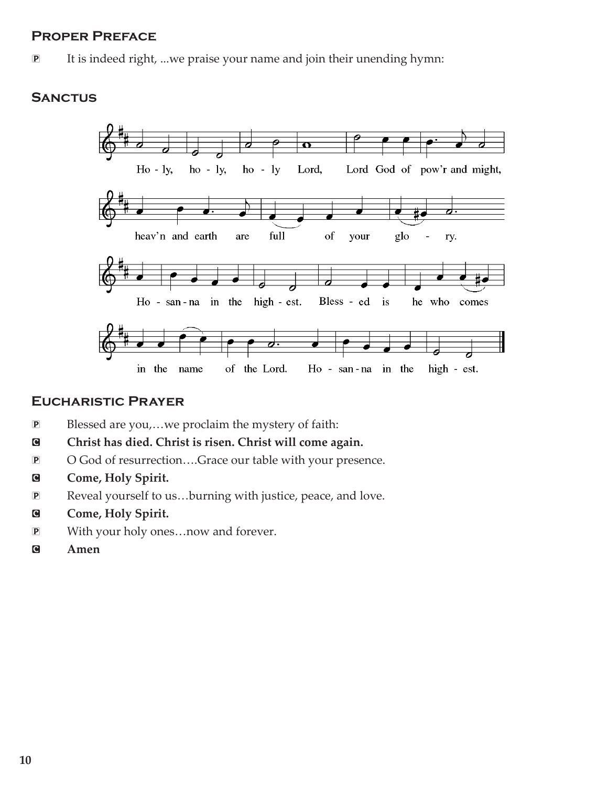#### Proper Preface

P It is indeed right, ...we praise your name and join their unending hymn:

#### **SANCTUS**



#### Eucharistic Prayer

- P Blessed are you,…we proclaim the mystery of faith:
- $\bullet$  Christ has died. Christ is risen. Christ will come again.
- P O God of resurrection….Grace our table with your presence.
- C **Come, Holy Spirit.**
- P Reveal yourself to us…burning with justice, peace, and love.
- **G** Come, Holy Spirit.
- P With your holy ones…now and forever.
- C **Amen**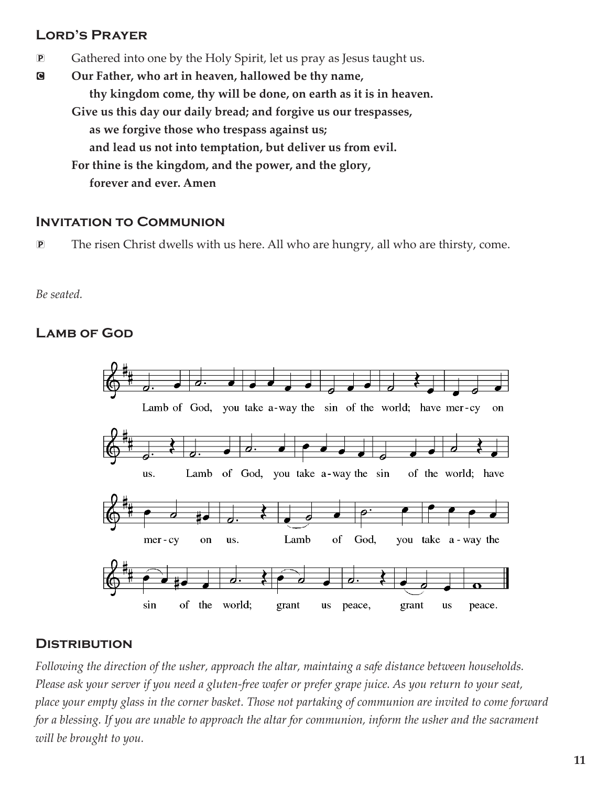## Lord's Prayer

P Gathered into one by the Holy Spirit, let us pray as Jesus taught us.

C **Our Father, who art in heaven, hallowed be thy name, thy kingdom come, thy will be done, on earth as it is in heaven. Give us this day our daily bread; and forgive us our trespasses, as we forgive those who trespass against us; and lead us not into temptation, but deliver us from evil. For thine is the kingdom, and the power, and the glory, forever and ever. Amen**

#### Invitation to Communion

P The risen Christ dwells with us here. All who are hungry, all who are thirsty, come.

#### *Be seated.*

## LAMB OF GOD



#### **DISTRIBUTION**

*Following the direction of the usher, approach the altar, maintaing a safe distance between households. Please ask your server if you need a gluten-free wafer or prefer grape juice. As you return to your seat, place your empty glass in the corner basket. Those not partaking of communion are invited to come forward for a blessing. If you are unable to approach the altar for communion, inform the usher and the sacrament will be brought to you.*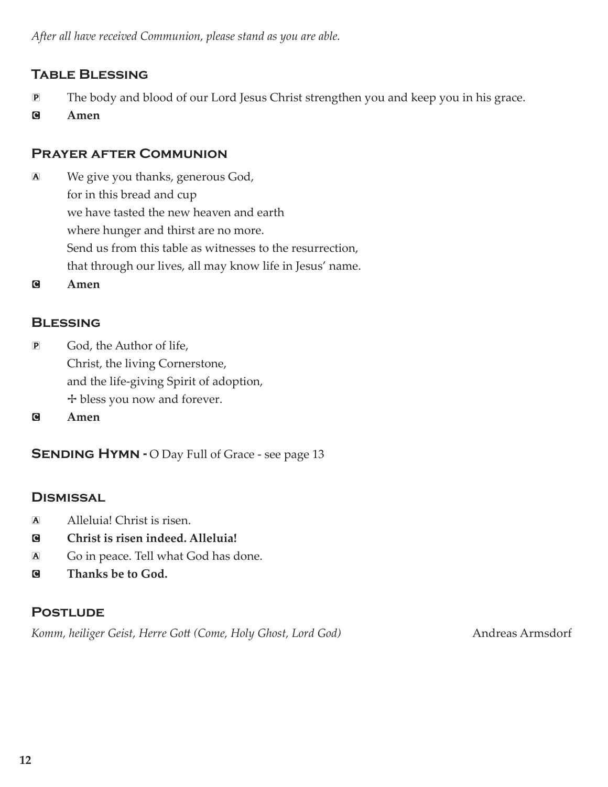## Table Blessing

- P The body and blood of our Lord Jesus Christ strengthen you and keep you in his grace.
- C **Amen**

## Prayer after Communion

- A We give you thanks, generous God, for in this bread and cup we have tasted the new heaven and earth where hunger and thirst are no more. Send us from this table as witnesses to the resurrection, that through our lives, all may know life in Jesus' name.
- C **Amen**

## **BLESSING**

- P God, the Author of life, Christ, the living Cornerstone, and the life-giving Spirit of adoption, + bless you now and forever.
- C **Amen**

**SENDING HYMN - O Day Full of Grace - see page 13** 

#### **DISMISSAL**

- A Alleluia! Christ is risen.
- C **Christ is risen indeed. Alleluia!**
- A Go in peace. Tell what God has done.
- C **Thanks be to God.**

#### **POSTLUDE**

Komm, heiliger Geist, Herre Gott (Come, Holy Ghost, Lord God) Andreas Armsdorf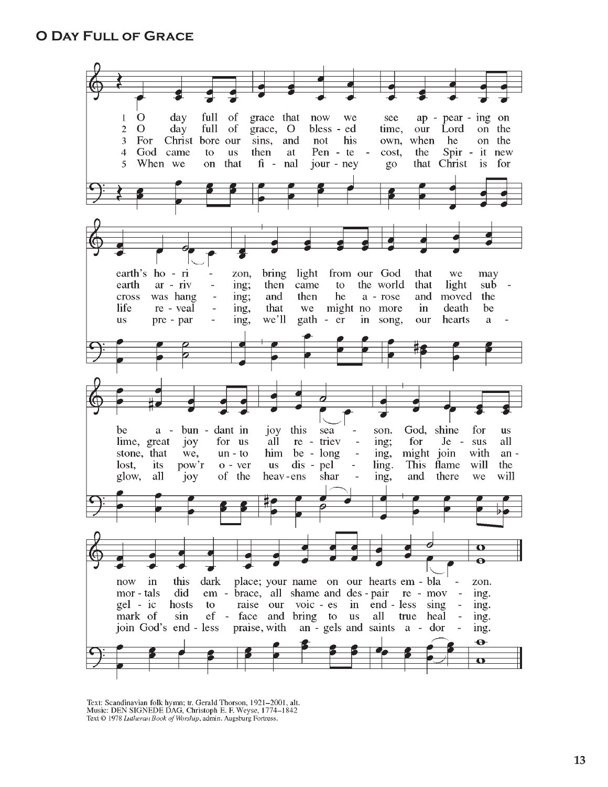

Text: Scandinavian folk hymn; tr. Gerald Thorson, 1921-2001, alt. Music: DEN SIGNEDE DAG, Christoph E. F. Weyse, 1774-1842 Text © 1978 Lutheran Book of Worship, admin. Augsburg Fortress.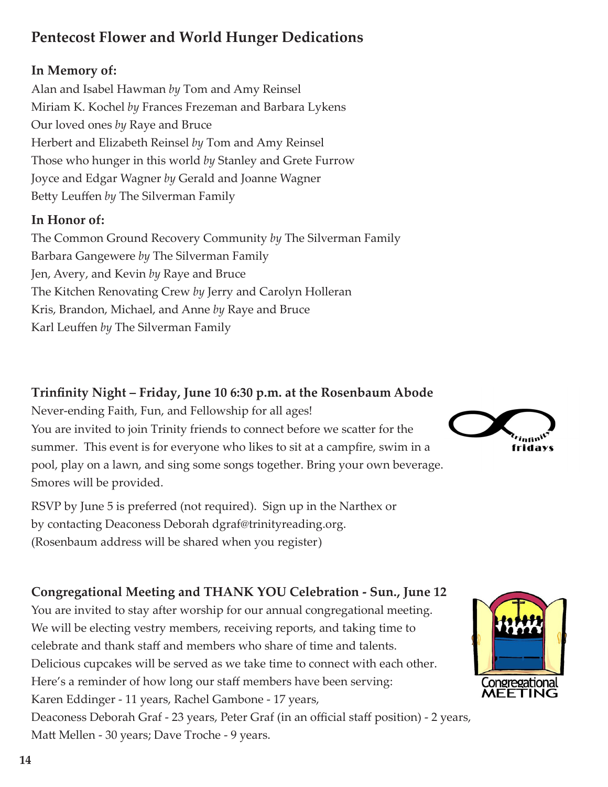# **Pentecost Flower and World Hunger Dedications**

## **In Memory of:**

Alan and Isabel Hawman *by* Tom and Amy Reinsel Miriam K. Kochel *by* Frances Frezeman and Barbara Lykens Our loved ones *by* Raye and Bruce Herbert and Elizabeth Reinsel *by* Tom and Amy Reinsel Those who hunger in this world *by* Stanley and Grete Furrow Joyce and Edgar Wagner *by* Gerald and Joanne Wagner Betty Leuffen *by* The Silverman Family

## **In Honor of:**

The Common Ground Recovery Community *by* The Silverman Family Barbara Gangewere *by* The Silverman Family Jen, Avery, and Kevin *by* Raye and Bruce The Kitchen Renovating Crew *by* Jerry and Carolyn Holleran Kris, Brandon, Michael, and Anne *by* Raye and Bruce Karl Leuffen *by* The Silverman Family

# **Trinfinity Night – Friday, June 10 6:30 p.m. at the Rosenbaum Abode**

Never-ending Faith, Fun, and Fellowship for all ages! You are invited to join Trinity friends to connect before we scatter for the summer. This event is for everyone who likes to sit at a campfire, swim in a pool, play on a lawn, and sing some songs together. Bring your own beverage. Smores will be provided.

RSVP by June 5 is preferred (not required). Sign up in the Narthex or by contacting Deaconess Deborah dgraf@trinityreading.org. (Rosenbaum address will be shared when you register)

# **Congregational Meeting and THANK YOU Celebration - Sun., June 12**

You are invited to stay after worship for our annual congregational meeting. We will be electing vestry members, receiving reports, and taking time to celebrate and thank staff and members who share of time and talents. Delicious cupcakes will be served as we take time to connect with each other. Here's a reminder of how long our staff members have been serving: Karen Eddinger - 11 years, Rachel Gambone - 17 years, Deaconess Deborah Graf - 23 years, Peter Graf (in an official staff position) - 2 years, Matt Mellen - 30 years; Dave Troche - 9 years.



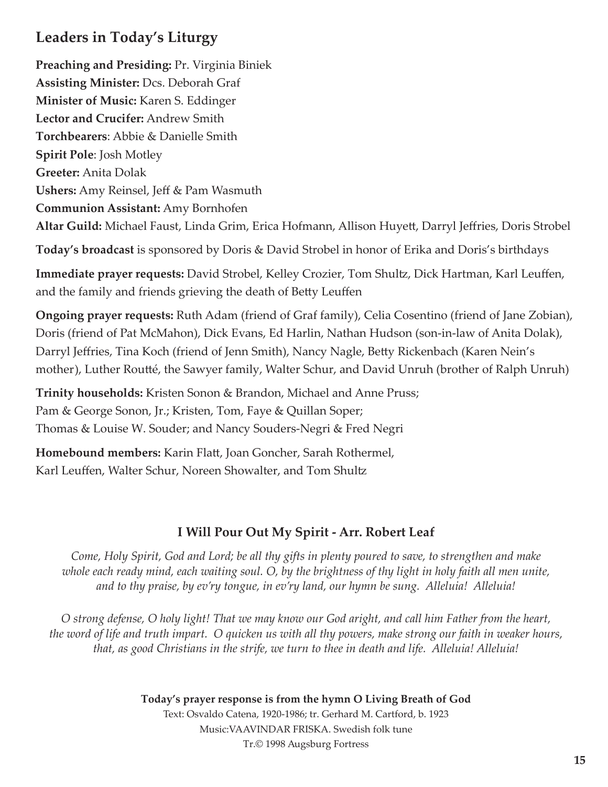# **Leaders in Today's Liturgy**

**Preaching and Presiding:** Pr. Virginia Biniek **Assisting Minister:** Dcs. Deborah Graf **Minister of Music:** Karen S. Eddinger **Lector and Crucifer:** Andrew Smith **Torchbearers**: Abbie & Danielle Smith **Spirit Pole**: Josh Motley **Greeter:** Anita Dolak **Ushers:** Amy Reinsel, Jeff & Pam Wasmuth **Communion Assistant:** Amy Bornhofen **Altar Guild:** Michael Faust, Linda Grim, Erica Hofmann, Allison Huyett, Darryl Jeffries, Doris Strobel

**Today's broadcast** is sponsored by Doris & David Strobel in honor of Erika and Doris's birthdays

**Immediate prayer requests:** David Strobel, Kelley Crozier, Tom Shultz, Dick Hartman, Karl Leuffen, and the family and friends grieving the death of Betty Leuffen

**Ongoing prayer requests:** Ruth Adam (friend of Graf family), Celia Cosentino (friend of Jane Zobian), Doris (friend of Pat McMahon), Dick Evans, Ed Harlin, Nathan Hudson (son-in-law of Anita Dolak), Darryl Jeffries, Tina Koch (friend of Jenn Smith), Nancy Nagle, Betty Rickenbach (Karen Nein's mother), Luther Routté, the Sawyer family, Walter Schur, and David Unruh (brother of Ralph Unruh)

**Trinity households:** Kristen Sonon & Brandon, Michael and Anne Pruss; Pam & George Sonon, Jr.; Kristen, Tom, Faye & Quillan Soper; Thomas & Louise W. Souder; and Nancy Souders-Negri & Fred Negri

**Homebound members:** Karin Flatt, Joan Goncher, Sarah Rothermel, Karl Leuffen, Walter Schur, Noreen Showalter, and Tom Shultz

# **I Will Pour Out My Spirit - Arr. Robert Leaf**

*Come, Holy Spirit, God and Lord; be all thy gifts in plenty poured to save, to strengthen and make whole each ready mind, each waiting soul. O, by the brightness of thy light in holy faith all men unite, and to thy praise, by ev'ry tongue, in ev'ry land, our hymn be sung. Alleluia! Alleluia!*

*O strong defense, O holy light! That we may know our God aright, and call him Father from the heart, the word of life and truth impart. O quicken us with all thy powers, make strong our faith in weaker hours, that, as good Christians in the strife, we turn to thee in death and life. Alleluia! Alleluia!*

> **Today's prayer response is from the hymn O Living Breath of God** Text: Osvaldo Catena, 1920-1986; tr. Gerhard M. Cartford, b. 1923 Music:VAAVINDAR FRISKA. Swedish folk tune Tr.© 1998 Augsburg Fortress